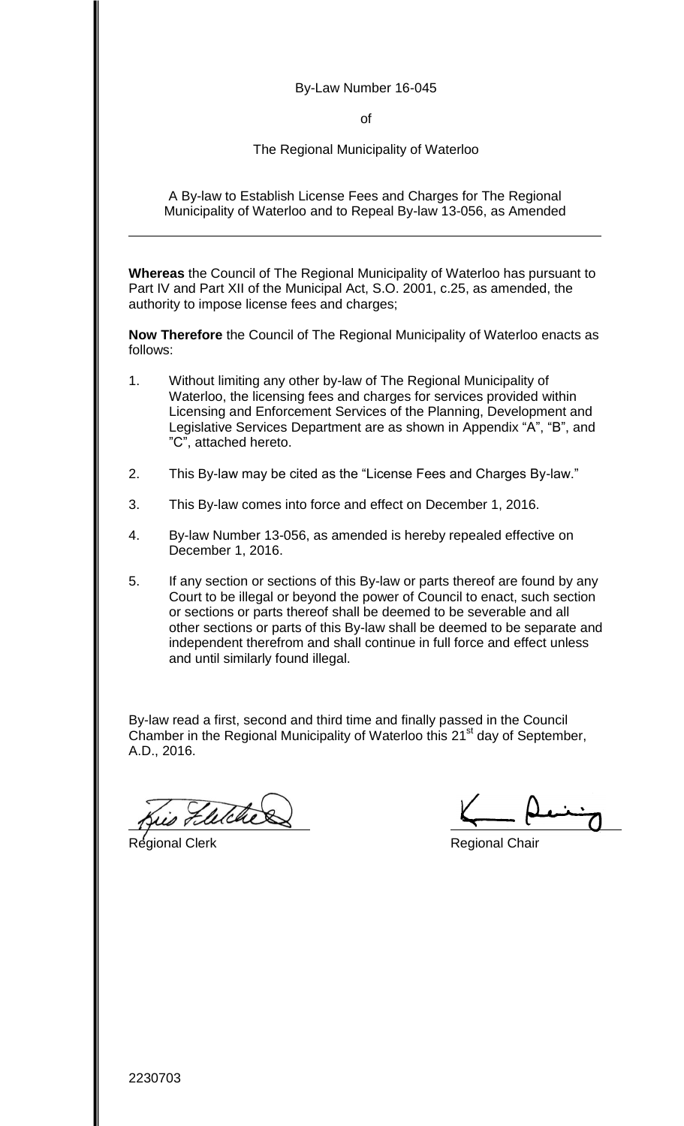#### By-Law Number 16-045

of

The Regional Municipality of Waterloo

A By-law to Establish License Fees and Charges for The Regional Municipality of Waterloo and to Repeal By-law 13-056, as Amended

**Whereas** the Council of The Regional Municipality of Waterloo has pursuant to Part IV and Part XII of the Municipal Act, S.O. 2001, c.25, as amended, the authority to impose license fees and charges;

**Now Therefore** the Council of The Regional Municipality of Waterloo enacts as follows:

- 1. Without limiting any other by-law of The Regional Municipality of Waterloo, the licensing fees and charges for services provided within Licensing and Enforcement Services of the Planning, Development and Legislative Services Department are as shown in Appendix "A", "B", and "C", attached hereto.
- 2. This By-law may be cited as the "License Fees and Charges By-law."
- 3. This By-law comes into force and effect on December 1, 2016.
- 4. By-law Number 13-056, as amended is hereby repealed effective on December 1, 2016.
- 5. If any section or sections of this By-law or parts thereof are found by any Court to be illegal or beyond the power of Council to enact, such section or sections or parts thereof shall be deemed to be severable and all other sections or parts of this By-law shall be deemed to be separate and independent therefrom and shall continue in full force and effect unless and until similarly found illegal.

By-law read a first, second and third time and finally passed in the Council Chamber in the Regional Municipality of Waterloo this 21<sup>st</sup> day of September, A.D., 2016.

Felche

Regional Clerk **Regional Clerk** Regional Chair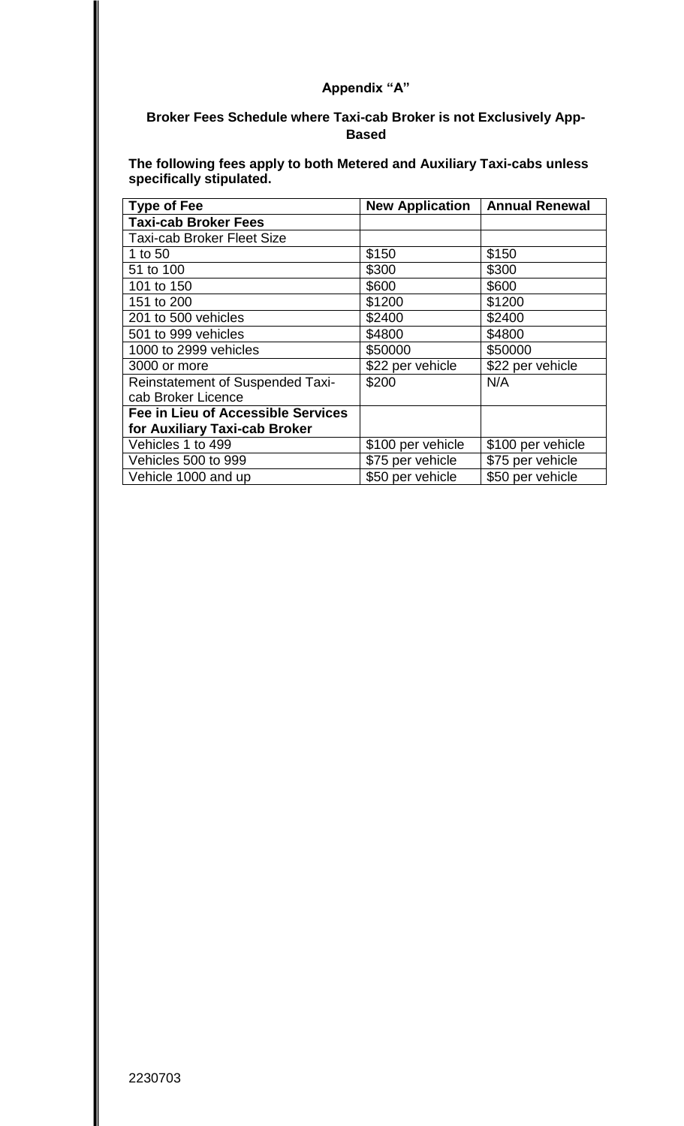### **Broker Fees Schedule where Taxi-cab Broker is not Exclusively App-Based**

**The following fees apply to both Metered and Auxiliary Taxi-cabs unless specifically stipulated.** 

| <b>Type of Fee</b>                        | <b>New Application   Annual Renewal</b> |                   |
|-------------------------------------------|-----------------------------------------|-------------------|
| <b>Taxi-cab Broker Fees</b>               |                                         |                   |
| Taxi-cab Broker Fleet Size                |                                         |                   |
| 1 to 50                                   | \$150                                   | \$150             |
| 51 to 100                                 | \$300                                   | \$300             |
| 101 to 150                                | \$600                                   | \$600             |
| 151 to 200                                | \$1200                                  | \$1200            |
| 201 to 500 vehicles                       | \$2400                                  | \$2400            |
| 501 to 999 vehicles                       | \$4800                                  | \$4800            |
| 1000 to 2999 vehicles                     | \$50000                                 | \$50000           |
| 3000 or more                              | \$22 per vehicle                        | \$22 per vehicle  |
| <b>Reinstatement of Suspended Taxi-</b>   | \$200                                   | N/A               |
| cab Broker Licence                        |                                         |                   |
| <b>Fee in Lieu of Accessible Services</b> |                                         |                   |
| for Auxiliary Taxi-cab Broker             |                                         |                   |
| Vehicles 1 to 499                         | \$100 per vehicle                       | \$100 per vehicle |
| Vehicles 500 to 999                       | \$75 per vehicle                        | \$75 per vehicle  |
| Vehicle 1000 and up                       | \$50 per vehicle                        | \$50 per vehicle  |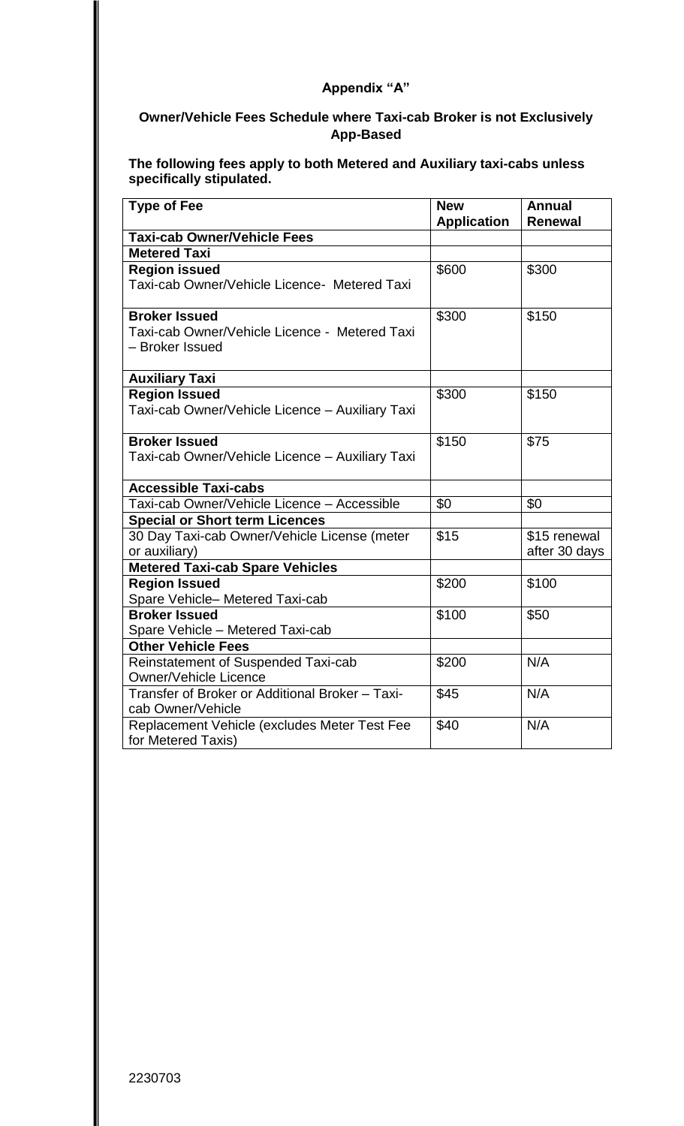# **Owner/Vehicle Fees Schedule where Taxi-cab Broker is not Exclusively App-Based**

**The following fees apply to both Metered and Auxiliary taxi-cabs unless specifically stipulated.** 

| <b>Type of Fee</b>                                                      | <b>New</b><br><b>Application</b> | <b>Annual</b><br><b>Renewal</b> |
|-------------------------------------------------------------------------|----------------------------------|---------------------------------|
| <b>Taxi-cab Owner/Vehicle Fees</b>                                      |                                  |                                 |
| <b>Metered Taxi</b>                                                     |                                  |                                 |
| <b>Region issued</b>                                                    | \$600                            | \$300                           |
| Taxi-cab Owner/Vehicle Licence- Metered Taxi                            |                                  |                                 |
| <b>Broker Issued</b>                                                    | \$300                            | \$150                           |
| Taxi-cab Owner/Vehicle Licence - Metered Taxi<br>- Broker Issued        |                                  |                                 |
| <b>Auxiliary Taxi</b>                                                   |                                  |                                 |
| <b>Region Issued</b><br>Taxi-cab Owner/Vehicle Licence - Auxiliary Taxi | \$300                            | \$150                           |
| <b>Broker Issued</b>                                                    | \$150                            | \$75                            |
| Taxi-cab Owner/Vehicle Licence - Auxiliary Taxi                         |                                  |                                 |
| <b>Accessible Taxi-cabs</b>                                             |                                  |                                 |
| Taxi-cab Owner/Vehicle Licence - Accessible                             | \$0                              | \$0                             |
| <b>Special or Short term Licences</b>                                   |                                  |                                 |
| 30 Day Taxi-cab Owner/Vehicle License (meter<br>or auxiliary)           | \$15                             | \$15 renewal<br>after 30 days   |
| <b>Metered Taxi-cab Spare Vehicles</b>                                  |                                  |                                 |
| <b>Region Issued</b><br>Spare Vehicle-Metered Taxi-cab                  | \$200                            | \$100                           |
| <b>Broker Issued</b>                                                    | \$100                            | \$50                            |
| Spare Vehicle - Metered Taxi-cab                                        |                                  |                                 |
| <b>Other Vehicle Fees</b>                                               |                                  |                                 |
| Reinstatement of Suspended Taxi-cab<br><b>Owner/Vehicle Licence</b>     | \$200                            | N/A                             |
| Transfer of Broker or Additional Broker - Taxi-<br>cab Owner/Vehicle    | \$45                             | N/A                             |
| Replacement Vehicle (excludes Meter Test Fee<br>for Metered Taxis)      | \$40                             | N/A                             |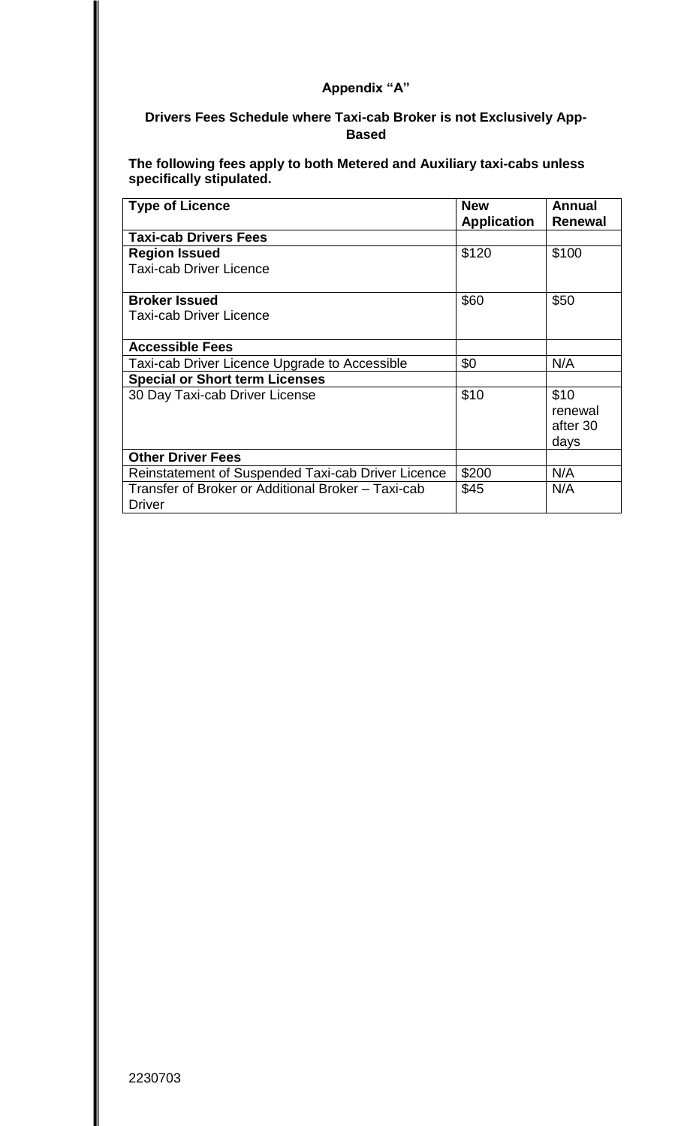## **Drivers Fees Schedule where Taxi-cab Broker is not Exclusively App-Based**

**The following fees apply to both Metered and Auxiliary taxi-cabs unless specifically stipulated.** 

| <b>Type of Licence</b>                                              | <b>New</b>         | Annual         |
|---------------------------------------------------------------------|--------------------|----------------|
|                                                                     | <b>Application</b> | <b>Renewal</b> |
| <b>Taxi-cab Drivers Fees</b>                                        |                    |                |
| <b>Region Issued</b>                                                | \$120              | \$100          |
| <b>Taxi-cab Driver Licence</b>                                      |                    |                |
| <b>Broker Issued</b>                                                | \$60               | \$50           |
| Taxi-cab Driver Licence                                             |                    |                |
| <b>Accessible Fees</b>                                              |                    |                |
| Taxi-cab Driver Licence Upgrade to Accessible                       | \$0                | N/A            |
| <b>Special or Short term Licenses</b>                               |                    |                |
| 30 Day Taxi-cab Driver License                                      | \$10               | \$10           |
|                                                                     |                    | renewal        |
|                                                                     |                    | after 30       |
|                                                                     |                    | days           |
| <b>Other Driver Fees</b>                                            |                    |                |
| Reinstatement of Suspended Taxi-cab Driver Licence                  | \$200              | N/A            |
| Transfer of Broker or Additional Broker – Taxi-cab<br><b>Driver</b> | \$45               | N/A            |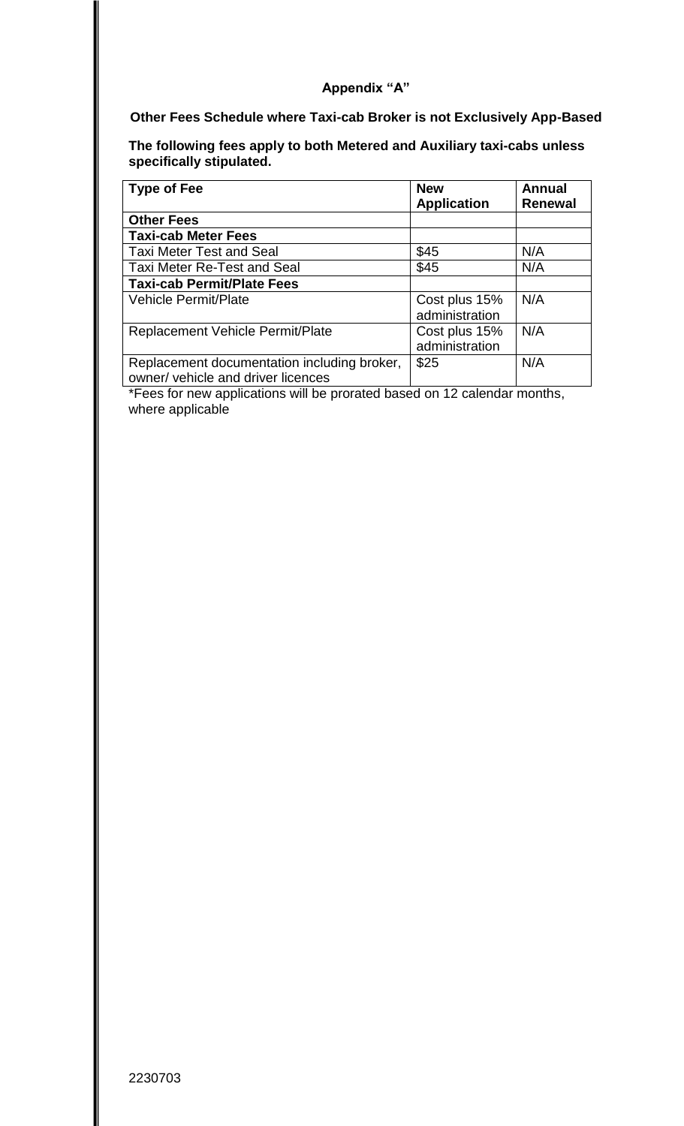#### **Other Fees Schedule where Taxi-cab Broker is not Exclusively App-Based**

**The following fees apply to both Metered and Auxiliary taxi-cabs unless specifically stipulated.** 

| <b>Type of Fee</b>                                                                | <b>New</b><br><b>Application</b> | <b>Annual</b><br><b>Renewal</b> |
|-----------------------------------------------------------------------------------|----------------------------------|---------------------------------|
| <b>Other Fees</b>                                                                 |                                  |                                 |
| <b>Taxi-cab Meter Fees</b>                                                        |                                  |                                 |
| <b>Taxi Meter Test and Seal</b>                                                   | \$45                             | N/A                             |
| <b>Taxi Meter Re-Test and Seal</b>                                                | \$45                             | N/A                             |
| <b>Taxi-cab Permit/Plate Fees</b>                                                 |                                  |                                 |
| <b>Vehicle Permit/Plate</b>                                                       | Cost plus 15%<br>administration  | N/A                             |
| <b>Replacement Vehicle Permit/Plate</b>                                           | Cost plus 15%<br>administration  | N/A                             |
| Replacement documentation including broker,<br>owner/ vehicle and driver licences | \$25                             | N/A                             |

\*Fees for new applications will be prorated based on 12 calendar months, where applicable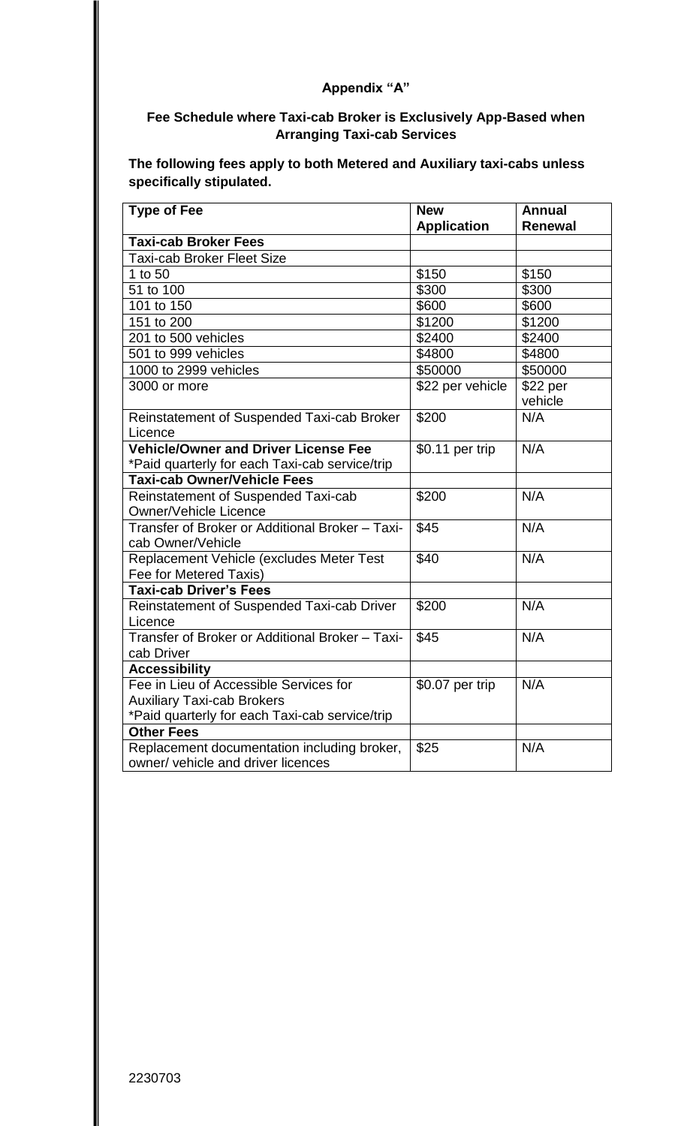## **Fee Schedule where Taxi-cab Broker is Exclusively App-Based when Arranging Taxi-cab Services**

**The following fees apply to both Metered and Auxiliary taxi-cabs unless specifically stipulated.** 

| <b>Type of Fee</b>                              | <b>New</b>         | <b>Annual</b>  |
|-------------------------------------------------|--------------------|----------------|
|                                                 | <b>Application</b> | <b>Renewal</b> |
| <b>Taxi-cab Broker Fees</b>                     |                    |                |
| <b>Taxi-cab Broker Fleet Size</b>               |                    |                |
| 1 to 50                                         | \$150              | \$150          |
| 51 to 100                                       | \$300              | \$300          |
| 101 to 150                                      | \$600              | \$600          |
| 151 to 200                                      | \$1200             | \$1200         |
| 201 to 500 vehicles                             | \$2400             | \$2400         |
| 501 to 999 vehicles                             | \$4800             | \$4800         |
| 1000 to 2999 vehicles                           | \$50000            | \$50000        |
| 3000 or more                                    | \$22 per vehicle   | \$22 per       |
|                                                 |                    | vehicle        |
| Reinstatement of Suspended Taxi-cab Broker      | \$200              | N/A            |
| Licence                                         |                    |                |
| <b>Vehicle/Owner and Driver License Fee</b>     | \$0.11 per trip    | N/A            |
| *Paid quarterly for each Taxi-cab service/trip  |                    |                |
| <b>Taxi-cab Owner/Vehicle Fees</b>              |                    |                |
| Reinstatement of Suspended Taxi-cab             | \$200              | N/A            |
| <b>Owner/Vehicle Licence</b>                    |                    |                |
| Transfer of Broker or Additional Broker - Taxi- | \$45               | N/A            |
| cab Owner/Vehicle                               |                    |                |
| Replacement Vehicle (excludes Meter Test        | \$40               | N/A            |
| Fee for Metered Taxis)                          |                    |                |
| <b>Taxi-cab Driver's Fees</b>                   |                    |                |
| Reinstatement of Suspended Taxi-cab Driver      | \$200              | N/A            |
| Licence                                         |                    |                |
| Transfer of Broker or Additional Broker - Taxi- | \$45               | N/A            |
| cab Driver                                      |                    |                |
| <b>Accessibility</b>                            |                    |                |
| Fee in Lieu of Accessible Services for          | \$0.07 per trip    | N/A            |
| <b>Auxiliary Taxi-cab Brokers</b>               |                    |                |
| *Paid quarterly for each Taxi-cab service/trip  |                    |                |
| <b>Other Fees</b>                               |                    |                |
| Replacement documentation including broker,     | \$25               | N/A            |
| owner/ vehicle and driver licences              |                    |                |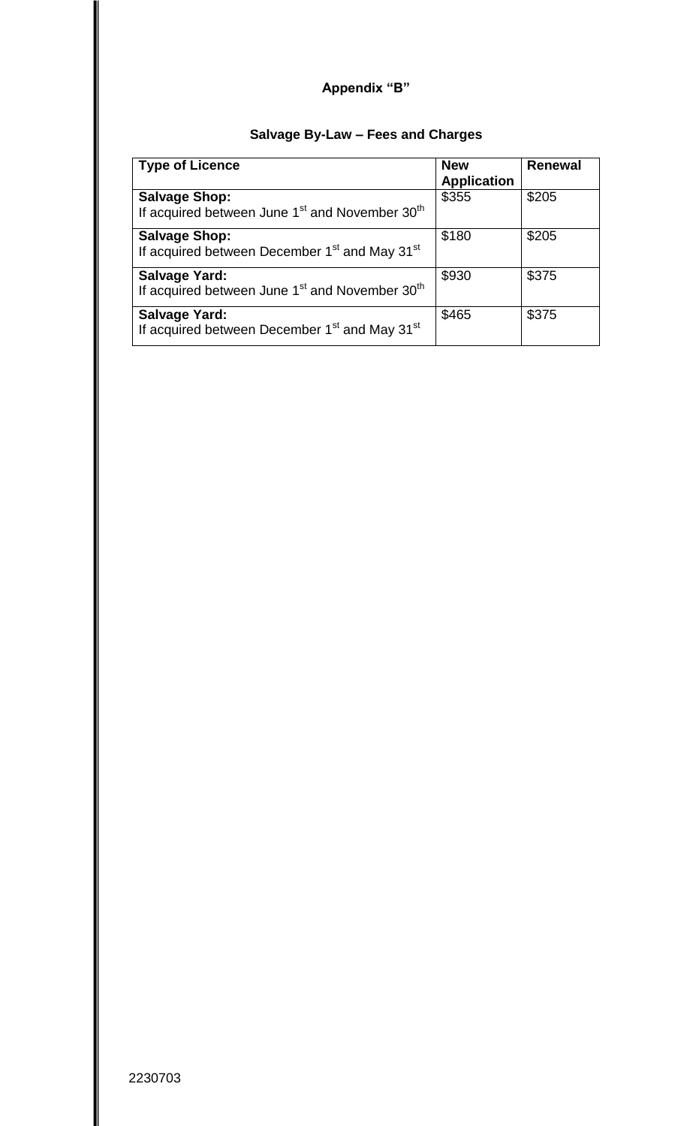# **Salvage By-Law – Fees and Charges**

| <b>Type of Licence</b>                                                                         | <b>New</b><br><b>Application</b> | <b>Renewal</b> |
|------------------------------------------------------------------------------------------------|----------------------------------|----------------|
| <b>Salvage Shop:</b><br>If acquired between June 1 <sup>st</sup> and November 30 <sup>th</sup> | \$355                            | \$205          |
| <b>Salvage Shop:</b><br>If acquired between December 1 <sup>st</sup> and May 31 <sup>st</sup>  | \$180                            | \$205          |
| <b>Salvage Yard:</b><br>If acquired between June 1 <sup>st</sup> and November 30 <sup>th</sup> | \$930                            | \$375          |
| <b>Salvage Yard:</b><br>If acquired between December 1 <sup>st</sup> and May 31 <sup>st</sup>  | \$465                            | \$375          |